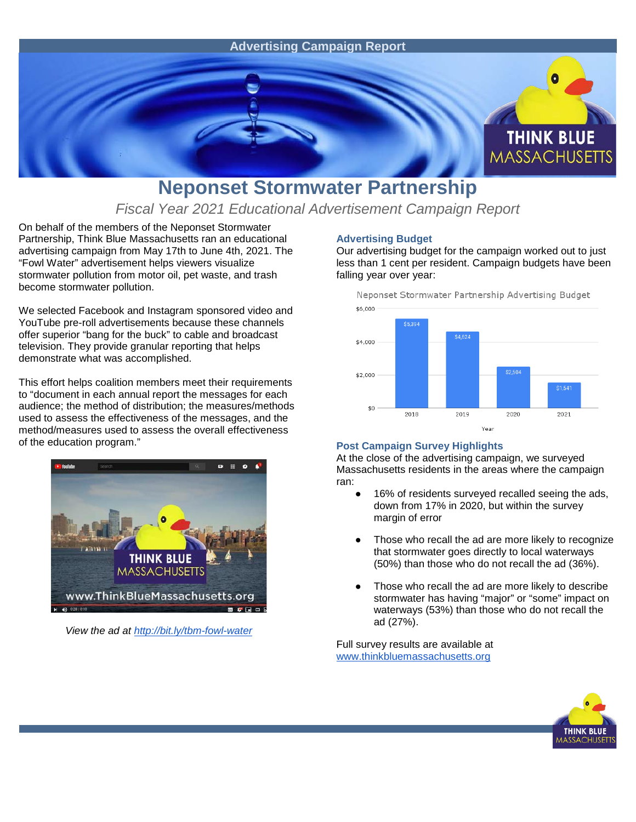

## **Neponset Stormwater Partnership**

*Fiscal Year 2021 Educational Advertisement Campaign Report*

On behalf of the members of the Neponset Stormwater Partnership, Think Blue Massachusetts ran an educational advertising campaign from May 17th to June 4th, 2021. The "Fowl Water" advertisement helps viewers visualize stormwater pollution from motor oil, pet waste, and trash become stormwater pollution.

We selected Facebook and Instagram sponsored video and YouTube pre-roll advertisements because these channels offer superior "bang for the buck" to cable and broadcast television. They provide granular reporting that helps demonstrate what was accomplished.

This effort helps coalition members meet their requirements to "document in each annual report the messages for each audience; the method of distribution; the measures/methods used to assess the effectiveness of the messages, and the method/measures used to assess the overall effectiveness of the education program."



*View the ad at<http://bit.ly/tbm-fowl-water>*

## **Advertising Budget**

Our advertising budget for the campaign worked out to just less than 1 cent per resident. Campaign budgets have been falling year over year:



## **Post Campaign Survey Highlights**

At the close of the advertising campaign, we surveyed Massachusetts residents in the areas where the campaign ran:

- 16% of residents surveyed recalled seeing the ads, down from 17% in 2020, but within the survey margin of error
- Those who recall the ad are more likely to recognize that stormwater goes directly to local waterways (50%) than those who do not recall the ad (36%).
- Those who recall the ad are more likely to describe stormwater has having "major" or "some" impact on waterways (53%) than those who do not recall the ad (27%).

Full survey results are available at [www.thinkbluemassachusetts.org](http://www.thinkbluemassachusetts.org/)